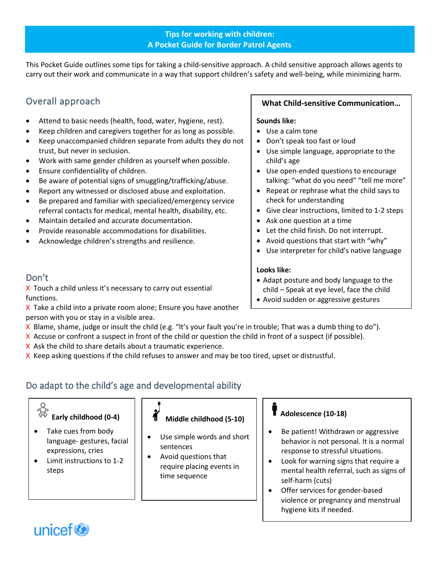#### **Tips for working with children: A Pocket Guide for Border Patrol Agents**

This Pocket Guide outlines some tips for taking a child-sensitive approach. A child sensitive approach allows agents to carry out their work and communicate in a way that support children's safety and well-being, while minimizing harm.

# Overall approach

- Attend to basic needs (health, food, water, hygiene, rest).
- Keep children and caregivers together for as long as possible.
- Keep unaccompanied children separate from adults they do not trust, but never in seclusion.
- Work with same gender children as yourself when possible.
- Ensure confidentiality of children.
- Be aware of potential signs of smuggling/trafficking/abuse.
- Report any witnessed or disclosed abuse and exploitation.
- Be prepared and familiar with specialized/emergency service referral contacts for medical, mental health, disability, etc.
- Maintain detailed and accurate documentation.
- Provide reasonable accommodations for disabilities.
- Acknowledge children's strengths and resilience.

# Don't

X Touch a child unless it's necessary to carry out essential functions.

X Take a child into a private room alone; Ensure you have another person with you or stay in a visible area.

- X Blame, shame, judge or insult the child (e.g. "It's your fault you're in trouble; That was a dumb thing to do").
- X Accuse or confront a suspect in front of the child or question the child in front of a suspect (if possible).
- X Ask the child to share details about a traumatic experience.
- X Keep asking questions if the child refuses to answer and may be too tired, upset or distrustful.

# Do adapt to the child's age and developmental ability

# **Early childhood (0-4)**

- Take cues from body language- gestures, facial expressions, cries
- Limit instructions to 1-2 steps



- Use simple words and short sentences
- Avoid questions that require placing events in time sequence

#### **What Child-sensitive Communication…**

#### **Sounds like:**

- Use a calm tone
- Don't speak too fast or loud
- Use simple language, appropriate to the child's age
- Use open-ended questions to encourage talking: "what do you need" "tell me more"
- Repeat or rephrase what the child says to check for understanding
- Give clear instructions, limited to 1-2 steps
- Ask one question at a time
- Let the child finish. Do not interrupt.
- Avoid questions that start with "why"
- Use interpreter for child's native language

#### **Looks like:**

- Adapt posture and body language to the child – Speak at eye level, face the child
- Avoid sudden or aggressive gestures

#### **Adolescence (10-18)**

- Be patient! Withdrawn or aggressive behavior is not personal. It is a normal response to stressful situations.
- Look for warning signs that require a mental health referral, such as signs of self-harm (cuts)
- Offer services for gender-based violence or pregnancy and menstrual hygiene kits if needed.